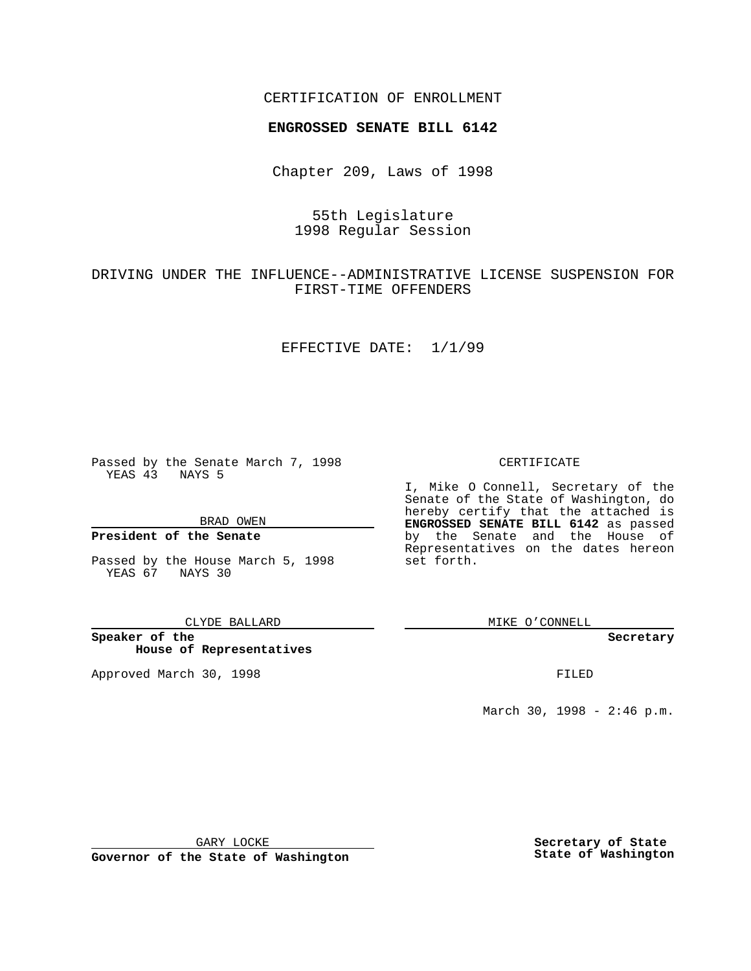## CERTIFICATION OF ENROLLMENT

# **ENGROSSED SENATE BILL 6142**

Chapter 209, Laws of 1998

# 55th Legislature 1998 Regular Session

# DRIVING UNDER THE INFLUENCE--ADMINISTRATIVE LICENSE SUSPENSION FOR FIRST-TIME OFFENDERS

#### EFFECTIVE DATE: 1/1/99

Passed by the Senate March 7, 1998 YEAS 43 NAYS 5

BRAD OWEN

### **President of the Senate**

Passed by the House March 5, 1998 YEAS 67 NAYS 30

CLYDE BALLARD

**Speaker of the House of Representatives**

Approved March 30, 1998 **FILED** 

### CERTIFICATE

I, Mike O Connell, Secretary of the Senate of the State of Washington, do hereby certify that the attached is **ENGROSSED SENATE BILL 6142** as passed by the Senate and the House of Representatives on the dates hereon set forth.

MIKE O'CONNELL

#### **Secretary**

March 30, 1998 - 2:46 p.m.

GARY LOCKE

**Governor of the State of Washington**

**Secretary of State State of Washington**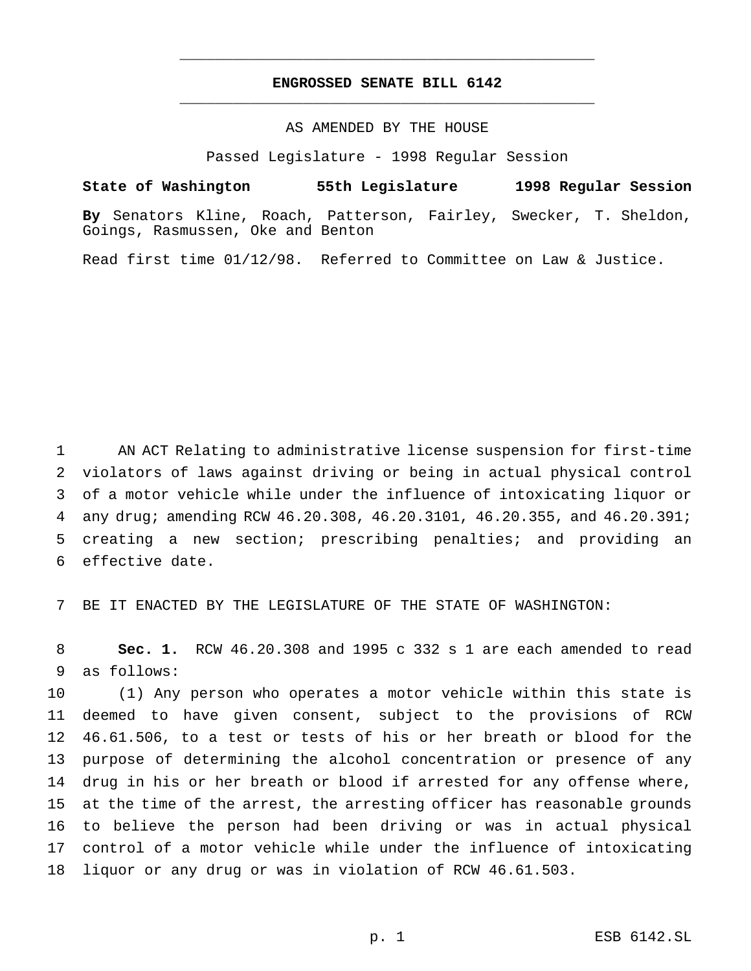## **ENGROSSED SENATE BILL 6142** \_\_\_\_\_\_\_\_\_\_\_\_\_\_\_\_\_\_\_\_\_\_\_\_\_\_\_\_\_\_\_\_\_\_\_\_\_\_\_\_\_\_\_\_\_\_\_

\_\_\_\_\_\_\_\_\_\_\_\_\_\_\_\_\_\_\_\_\_\_\_\_\_\_\_\_\_\_\_\_\_\_\_\_\_\_\_\_\_\_\_\_\_\_\_

### AS AMENDED BY THE HOUSE

Passed Legislature - 1998 Regular Session

### **State of Washington 55th Legislature 1998 Regular Session**

**By** Senators Kline, Roach, Patterson, Fairley, Swecker, T. Sheldon, Goings, Rasmussen, Oke and Benton

Read first time 01/12/98. Referred to Committee on Law & Justice.

 AN ACT Relating to administrative license suspension for first-time violators of laws against driving or being in actual physical control of a motor vehicle while under the influence of intoxicating liquor or any drug; amending RCW 46.20.308, 46.20.3101, 46.20.355, and 46.20.391; creating a new section; prescribing penalties; and providing an effective date.

BE IT ENACTED BY THE LEGISLATURE OF THE STATE OF WASHINGTON:

 **Sec. 1.** RCW 46.20.308 and 1995 c 332 s 1 are each amended to read as follows:

 (1) Any person who operates a motor vehicle within this state is deemed to have given consent, subject to the provisions of RCW 46.61.506, to a test or tests of his or her breath or blood for the purpose of determining the alcohol concentration or presence of any drug in his or her breath or blood if arrested for any offense where, at the time of the arrest, the arresting officer has reasonable grounds to believe the person had been driving or was in actual physical control of a motor vehicle while under the influence of intoxicating liquor or any drug or was in violation of RCW 46.61.503.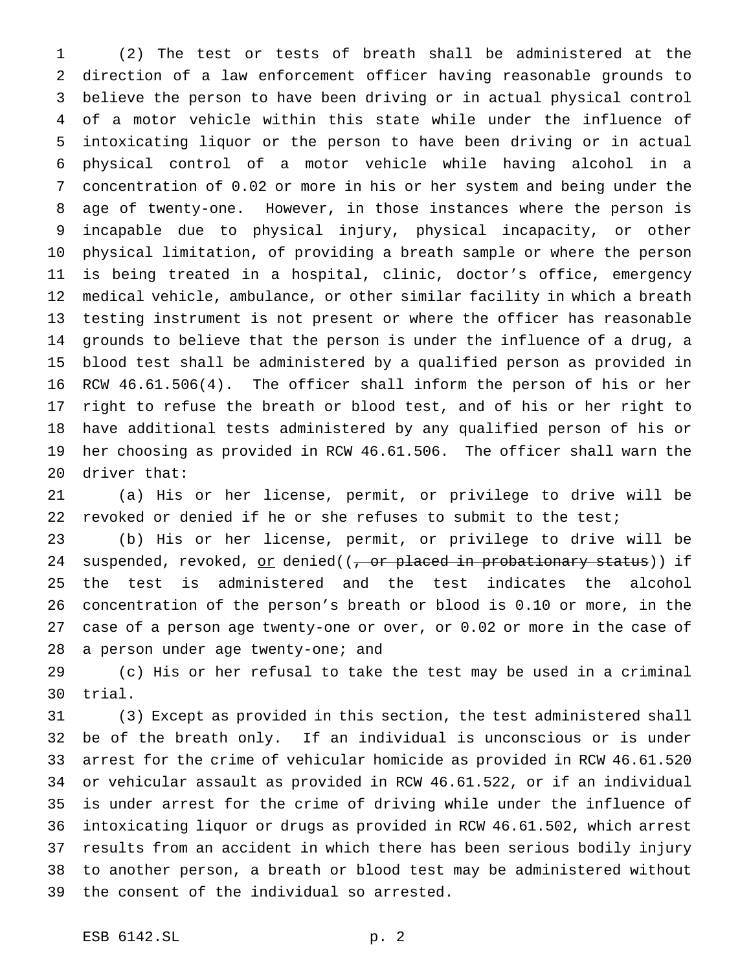(2) The test or tests of breath shall be administered at the direction of a law enforcement officer having reasonable grounds to believe the person to have been driving or in actual physical control of a motor vehicle within this state while under the influence of intoxicating liquor or the person to have been driving or in actual physical control of a motor vehicle while having alcohol in a concentration of 0.02 or more in his or her system and being under the age of twenty-one. However, in those instances where the person is incapable due to physical injury, physical incapacity, or other physical limitation, of providing a breath sample or where the person is being treated in a hospital, clinic, doctor's office, emergency medical vehicle, ambulance, or other similar facility in which a breath testing instrument is not present or where the officer has reasonable grounds to believe that the person is under the influence of a drug, a blood test shall be administered by a qualified person as provided in RCW 46.61.506(4). The officer shall inform the person of his or her right to refuse the breath or blood test, and of his or her right to have additional tests administered by any qualified person of his or her choosing as provided in RCW 46.61.506. The officer shall warn the driver that:

 (a) His or her license, permit, or privilege to drive will be revoked or denied if he or she refuses to submit to the test;

 (b) His or her license, permit, or privilege to drive will be 24 suspended, revoked, or denied( $(-, or$  placed in probationary status)) if the test is administered and the test indicates the alcohol concentration of the person's breath or blood is 0.10 or more, in the case of a person age twenty-one or over, or 0.02 or more in the case of 28 a person under age twenty-one; and

 (c) His or her refusal to take the test may be used in a criminal trial.

 (3) Except as provided in this section, the test administered shall be of the breath only. If an individual is unconscious or is under arrest for the crime of vehicular homicide as provided in RCW 46.61.520 or vehicular assault as provided in RCW 46.61.522, or if an individual is under arrest for the crime of driving while under the influence of intoxicating liquor or drugs as provided in RCW 46.61.502, which arrest results from an accident in which there has been serious bodily injury to another person, a breath or blood test may be administered without the consent of the individual so arrested.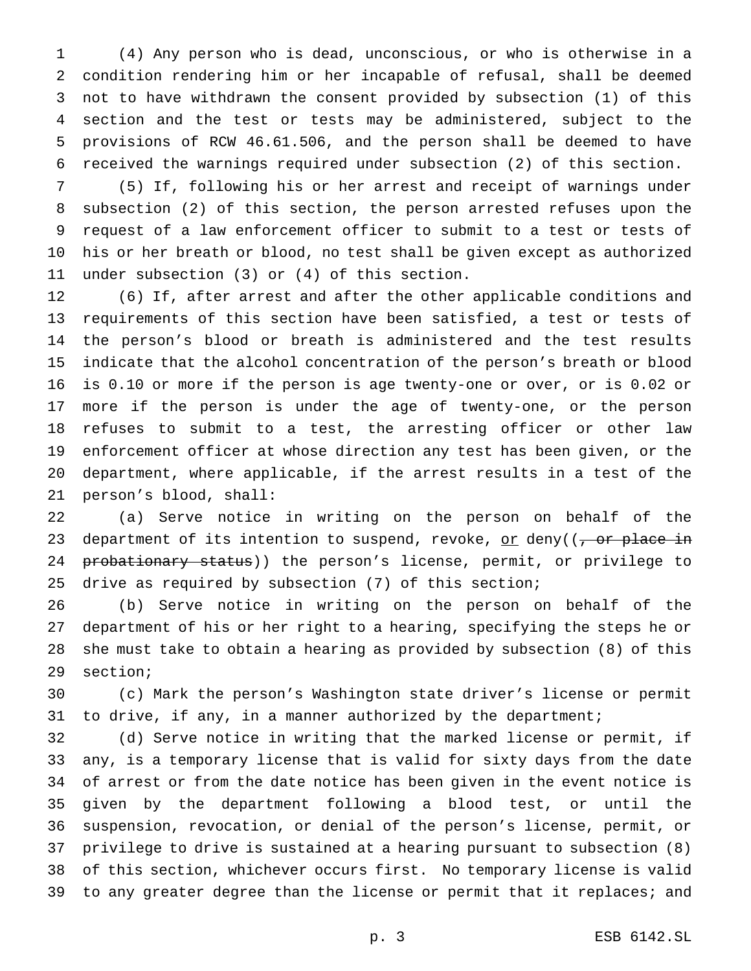(4) Any person who is dead, unconscious, or who is otherwise in a condition rendering him or her incapable of refusal, shall be deemed not to have withdrawn the consent provided by subsection (1) of this section and the test or tests may be administered, subject to the provisions of RCW 46.61.506, and the person shall be deemed to have received the warnings required under subsection (2) of this section.

 (5) If, following his or her arrest and receipt of warnings under subsection (2) of this section, the person arrested refuses upon the request of a law enforcement officer to submit to a test or tests of his or her breath or blood, no test shall be given except as authorized under subsection (3) or (4) of this section.

 (6) If, after arrest and after the other applicable conditions and requirements of this section have been satisfied, a test or tests of the person's blood or breath is administered and the test results indicate that the alcohol concentration of the person's breath or blood is 0.10 or more if the person is age twenty-one or over, or is 0.02 or more if the person is under the age of twenty-one, or the person refuses to submit to a test, the arresting officer or other law enforcement officer at whose direction any test has been given, or the department, where applicable, if the arrest results in a test of the person's blood, shall:

 (a) Serve notice in writing on the person on behalf of the 23 department of its intention to suspend, revoke, or deny( $(-\sigma r)$  place in 24 probationary status)) the person's license, permit, or privilege to drive as required by subsection (7) of this section;

 (b) Serve notice in writing on the person on behalf of the department of his or her right to a hearing, specifying the steps he or she must take to obtain a hearing as provided by subsection (8) of this section;

 (c) Mark the person's Washington state driver's license or permit 31 to drive, if any, in a manner authorized by the department;

 (d) Serve notice in writing that the marked license or permit, if any, is a temporary license that is valid for sixty days from the date of arrest or from the date notice has been given in the event notice is given by the department following a blood test, or until the suspension, revocation, or denial of the person's license, permit, or privilege to drive is sustained at a hearing pursuant to subsection (8) of this section, whichever occurs first. No temporary license is valid to any greater degree than the license or permit that it replaces; and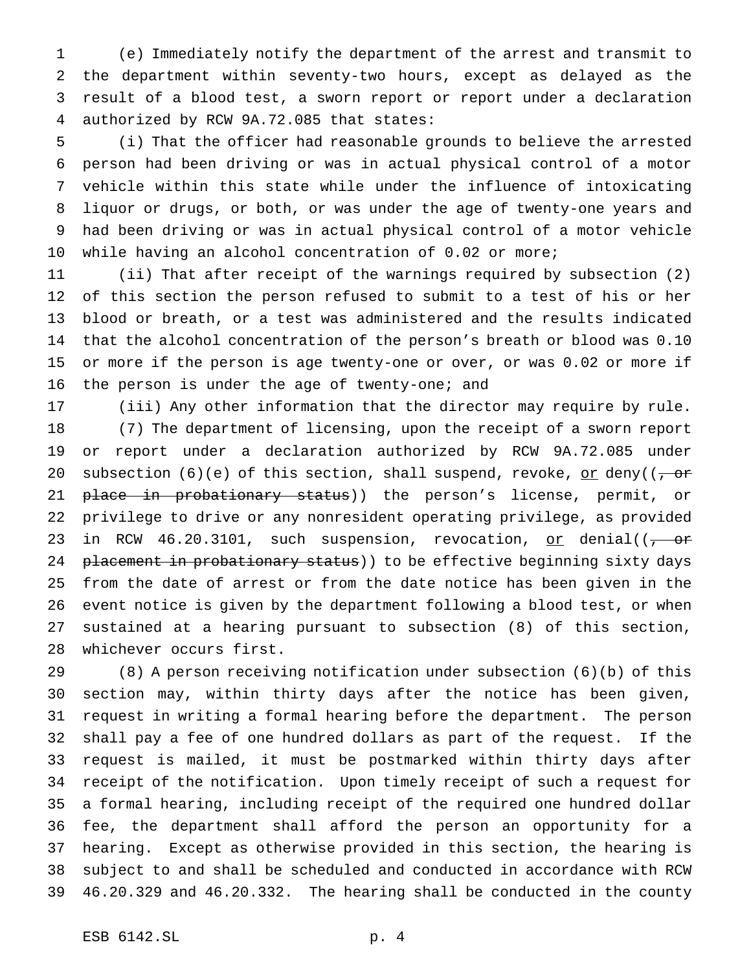(e) Immediately notify the department of the arrest and transmit to the department within seventy-two hours, except as delayed as the result of a blood test, a sworn report or report under a declaration authorized by RCW 9A.72.085 that states:

 (i) That the officer had reasonable grounds to believe the arrested person had been driving or was in actual physical control of a motor vehicle within this state while under the influence of intoxicating liquor or drugs, or both, or was under the age of twenty-one years and had been driving or was in actual physical control of a motor vehicle while having an alcohol concentration of 0.02 or more;

 (ii) That after receipt of the warnings required by subsection (2) of this section the person refused to submit to a test of his or her blood or breath, or a test was administered and the results indicated that the alcohol concentration of the person's breath or blood was 0.10 or more if the person is age twenty-one or over, or was 0.02 or more if the person is under the age of twenty-one; and

 (iii) Any other information that the director may require by rule. (7) The department of licensing, upon the receipt of a sworn report or report under a declaration authorized by RCW 9A.72.085 under 20 subsection (6)(e) of this section, shall suspend, revoke, or deny( $(-\sigma r)$ 21 <del>place in probationary status</del>)) the person's license, permit, or privilege to drive or any nonresident operating privilege, as provided 23 in RCW 46.20.3101, such suspension, revocation, or denial( $(-\text{or}$ 24 placement in probationary status) to be effective beginning sixty days from the date of arrest or from the date notice has been given in the event notice is given by the department following a blood test, or when sustained at a hearing pursuant to subsection (8) of this section, whichever occurs first.

 (8) A person receiving notification under subsection (6)(b) of this section may, within thirty days after the notice has been given, request in writing a formal hearing before the department. The person shall pay a fee of one hundred dollars as part of the request. If the request is mailed, it must be postmarked within thirty days after receipt of the notification. Upon timely receipt of such a request for a formal hearing, including receipt of the required one hundred dollar fee, the department shall afford the person an opportunity for a hearing. Except as otherwise provided in this section, the hearing is subject to and shall be scheduled and conducted in accordance with RCW 46.20.329 and 46.20.332. The hearing shall be conducted in the county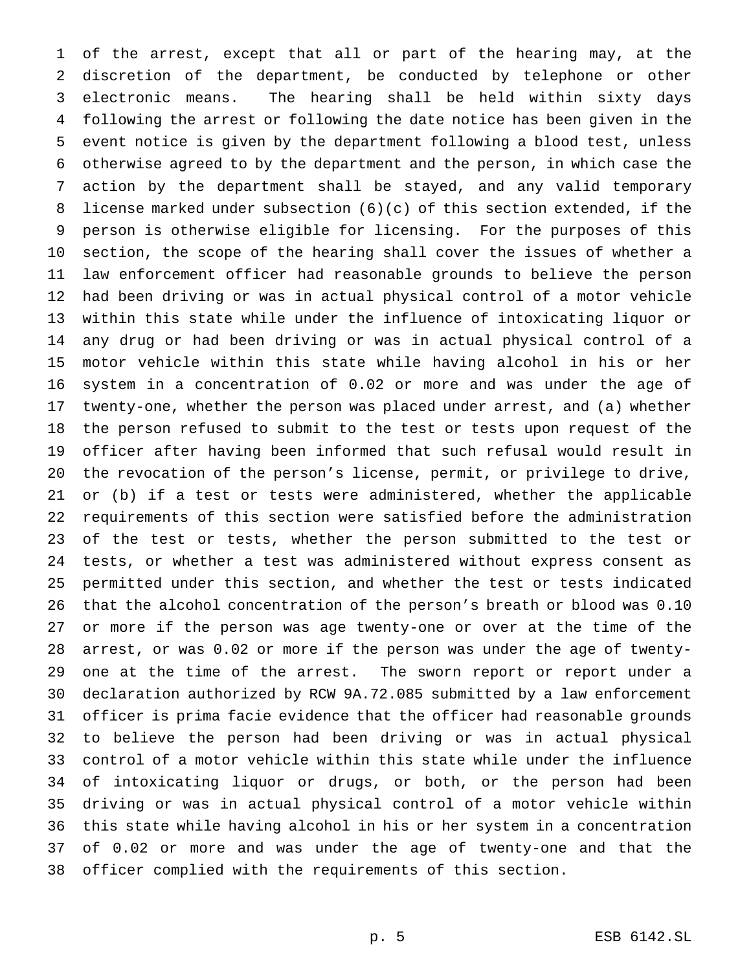of the arrest, except that all or part of the hearing may, at the discretion of the department, be conducted by telephone or other electronic means. The hearing shall be held within sixty days following the arrest or following the date notice has been given in the event notice is given by the department following a blood test, unless otherwise agreed to by the department and the person, in which case the action by the department shall be stayed, and any valid temporary license marked under subsection (6)(c) of this section extended, if the person is otherwise eligible for licensing. For the purposes of this section, the scope of the hearing shall cover the issues of whether a law enforcement officer had reasonable grounds to believe the person had been driving or was in actual physical control of a motor vehicle within this state while under the influence of intoxicating liquor or any drug or had been driving or was in actual physical control of a motor vehicle within this state while having alcohol in his or her system in a concentration of 0.02 or more and was under the age of twenty-one, whether the person was placed under arrest, and (a) whether the person refused to submit to the test or tests upon request of the officer after having been informed that such refusal would result in the revocation of the person's license, permit, or privilege to drive, or (b) if a test or tests were administered, whether the applicable requirements of this section were satisfied before the administration of the test or tests, whether the person submitted to the test or tests, or whether a test was administered without express consent as permitted under this section, and whether the test or tests indicated that the alcohol concentration of the person's breath or blood was 0.10 or more if the person was age twenty-one or over at the time of the arrest, or was 0.02 or more if the person was under the age of twenty- one at the time of the arrest. The sworn report or report under a declaration authorized by RCW 9A.72.085 submitted by a law enforcement officer is prima facie evidence that the officer had reasonable grounds to believe the person had been driving or was in actual physical control of a motor vehicle within this state while under the influence of intoxicating liquor or drugs, or both, or the person had been driving or was in actual physical control of a motor vehicle within this state while having alcohol in his or her system in a concentration of 0.02 or more and was under the age of twenty-one and that the officer complied with the requirements of this section.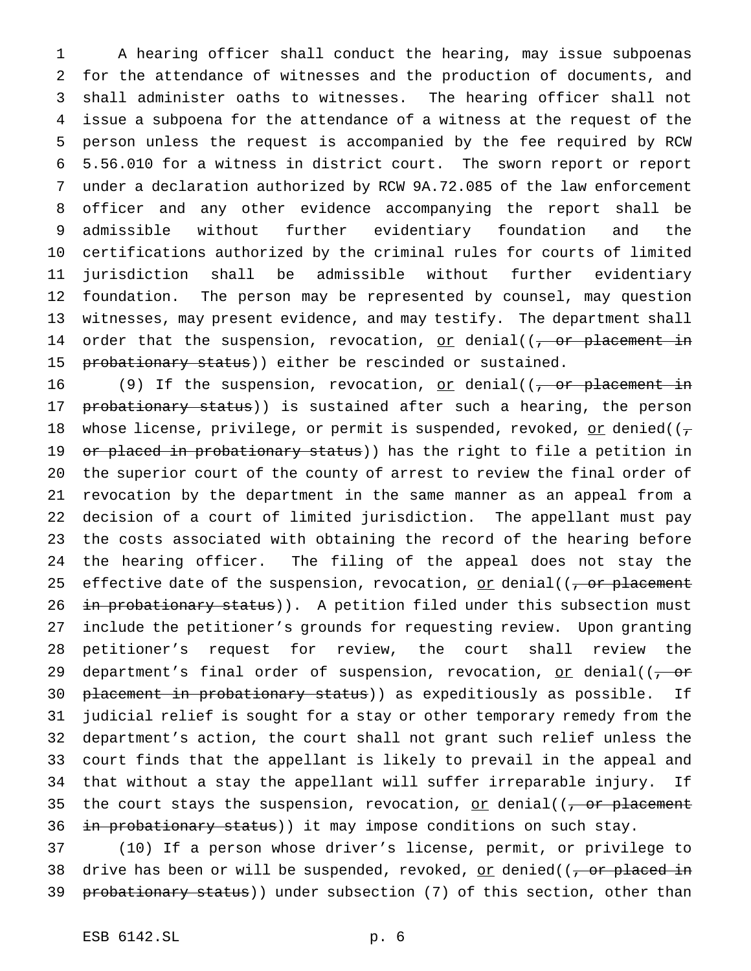A hearing officer shall conduct the hearing, may issue subpoenas for the attendance of witnesses and the production of documents, and shall administer oaths to witnesses. The hearing officer shall not issue a subpoena for the attendance of a witness at the request of the person unless the request is accompanied by the fee required by RCW 5.56.010 for a witness in district court. The sworn report or report under a declaration authorized by RCW 9A.72.085 of the law enforcement officer and any other evidence accompanying the report shall be admissible without further evidentiary foundation and the certifications authorized by the criminal rules for courts of limited jurisdiction shall be admissible without further evidentiary foundation. The person may be represented by counsel, may question witnesses, may present evidence, and may testify. The department shall 14 order that the suspension, revocation, or denial( $(-$ or placement in 15 probationary status)) either be rescinded or sustained.

16 (9) If the suspension, revocation, or denial( $(-$ or placement in 17 probationary status)) is sustained after such a hearing, the person 18 whose license, privilege, or permit is suspended, revoked, or denied( $(\tau$ 19 or placed in probationary status)) has the right to file a petition in the superior court of the county of arrest to review the final order of revocation by the department in the same manner as an appeal from a decision of a court of limited jurisdiction. The appellant must pay the costs associated with obtaining the record of the hearing before the hearing officer. The filing of the appeal does not stay the 25 effective date of the suspension, revocation, or denial( $(-\text{or placement}$ 26 in probationary status)). A petition filed under this subsection must include the petitioner's grounds for requesting review. Upon granting petitioner's request for review, the court shall review the 29 department's final order of suspension, revocation, or denial( $\sqrt{2}$ 30 placement in probationary status)) as expeditiously as possible. If judicial relief is sought for a stay or other temporary remedy from the department's action, the court shall not grant such relief unless the court finds that the appellant is likely to prevail in the appeal and that without a stay the appellant will suffer irreparable injury. If 35 the court stays the suspension, revocation, or denial( $(-\sigma r)$  placement 36 in probationary status)) it may impose conditions on such stay.

 (10) If a person whose driver's license, permit, or privilege to 38 drive has been or will be suspended, revoked, or denied( $(-$ or placed in 39 probationary status)) under subsection (7) of this section, other than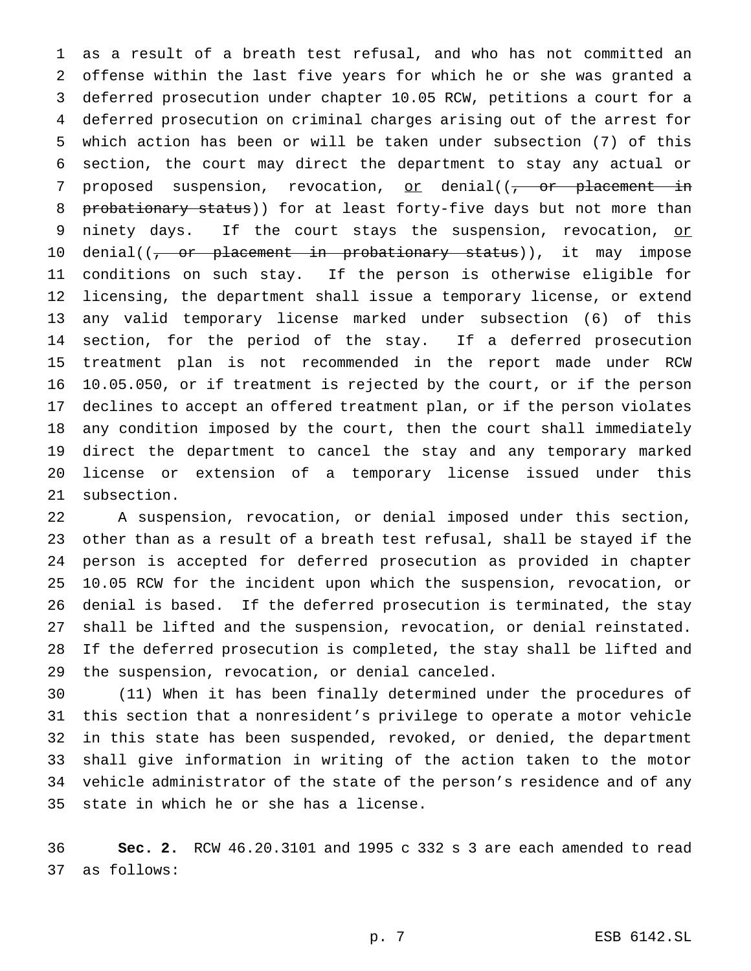as a result of a breath test refusal, and who has not committed an offense within the last five years for which he or she was granted a deferred prosecution under chapter 10.05 RCW, petitions a court for a deferred prosecution on criminal charges arising out of the arrest for which action has been or will be taken under subsection (7) of this section, the court may direct the department to stay any actual or 7 proposed suspension, revocation,  $or$  denial( $(-$  or placement in 8 probationary status)) for at least forty-five days but not more than 9 ninety days. If the court stays the suspension, revocation, or 10 denial((<del>, or placement in probationary status</del>)), it may impose conditions on such stay. If the person is otherwise eligible for licensing, the department shall issue a temporary license, or extend any valid temporary license marked under subsection (6) of this section, for the period of the stay. If a deferred prosecution treatment plan is not recommended in the report made under RCW 10.05.050, or if treatment is rejected by the court, or if the person declines to accept an offered treatment plan, or if the person violates any condition imposed by the court, then the court shall immediately direct the department to cancel the stay and any temporary marked license or extension of a temporary license issued under this subsection.

 A suspension, revocation, or denial imposed under this section, other than as a result of a breath test refusal, shall be stayed if the person is accepted for deferred prosecution as provided in chapter 10.05 RCW for the incident upon which the suspension, revocation, or denial is based. If the deferred prosecution is terminated, the stay shall be lifted and the suspension, revocation, or denial reinstated. If the deferred prosecution is completed, the stay shall be lifted and the suspension, revocation, or denial canceled.

 (11) When it has been finally determined under the procedures of this section that a nonresident's privilege to operate a motor vehicle in this state has been suspended, revoked, or denied, the department shall give information in writing of the action taken to the motor vehicle administrator of the state of the person's residence and of any state in which he or she has a license.

 **Sec. 2.** RCW 46.20.3101 and 1995 c 332 s 3 are each amended to read as follows: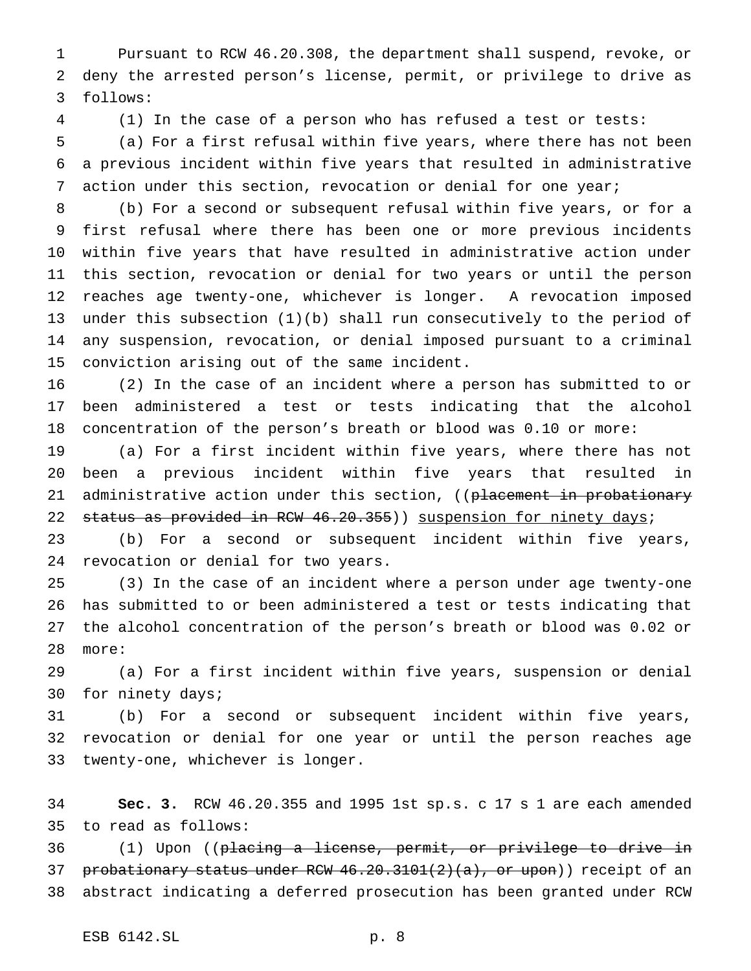Pursuant to RCW 46.20.308, the department shall suspend, revoke, or deny the arrested person's license, permit, or privilege to drive as follows:

(1) In the case of a person who has refused a test or tests:

 (a) For a first refusal within five years, where there has not been a previous incident within five years that resulted in administrative action under this section, revocation or denial for one year;

 (b) For a second or subsequent refusal within five years, or for a first refusal where there has been one or more previous incidents within five years that have resulted in administrative action under this section, revocation or denial for two years or until the person reaches age twenty-one, whichever is longer. A revocation imposed under this subsection (1)(b) shall run consecutively to the period of any suspension, revocation, or denial imposed pursuant to a criminal conviction arising out of the same incident.

 (2) In the case of an incident where a person has submitted to or been administered a test or tests indicating that the alcohol concentration of the person's breath or blood was 0.10 or more:

 (a) For a first incident within five years, where there has not been a previous incident within five years that resulted in 21 administrative action under this section, ((placement in probationary 22 status as provided in RCW 46.20.355)) suspension for ninety days;

 (b) For a second or subsequent incident within five years, revocation or denial for two years.

 (3) In the case of an incident where a person under age twenty-one has submitted to or been administered a test or tests indicating that the alcohol concentration of the person's breath or blood was 0.02 or more:

 (a) For a first incident within five years, suspension or denial for ninety days;

 (b) For a second or subsequent incident within five years, revocation or denial for one year or until the person reaches age twenty-one, whichever is longer.

 **Sec. 3.** RCW 46.20.355 and 1995 1st sp.s. c 17 s 1 are each amended to read as follows:

 (1) Upon ((placing a license, permit, or privilege to drive in 37 probationary status under RCW  $46.20.3101(2)(a)$ , or upon)) receipt of an abstract indicating a deferred prosecution has been granted under RCW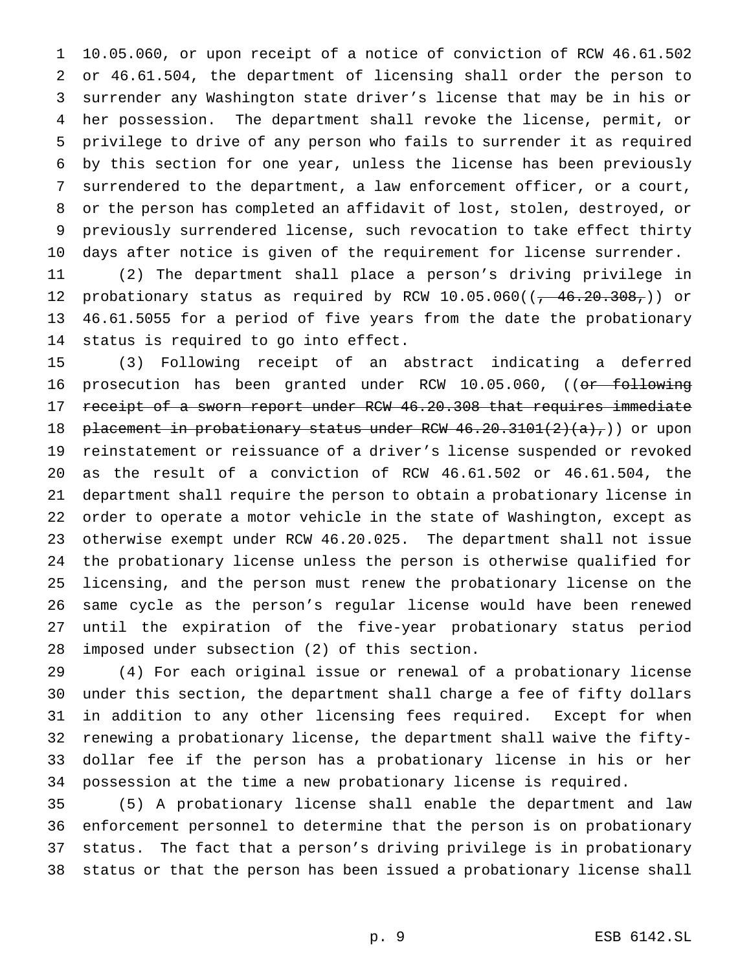10.05.060, or upon receipt of a notice of conviction of RCW 46.61.502 or 46.61.504, the department of licensing shall order the person to surrender any Washington state driver's license that may be in his or her possession. The department shall revoke the license, permit, or privilege to drive of any person who fails to surrender it as required by this section for one year, unless the license has been previously surrendered to the department, a law enforcement officer, or a court, or the person has completed an affidavit of lost, stolen, destroyed, or previously surrendered license, such revocation to take effect thirty days after notice is given of the requirement for license surrender.

 (2) The department shall place a person's driving privilege in 12 probationary status as required by RCW  $10.05.060$  ( $(-46.20.308, )$ ) or 46.61.5055 for a period of five years from the date the probationary status is required to go into effect.

 (3) Following receipt of an abstract indicating a deferred 16 prosecution has been granted under RCW 10.05.060, ((or following receipt of a sworn report under RCW 46.20.308 that requires immediate 18 placement in probationary status under RCW 46.20.3101(2)(a),)) or upon reinstatement or reissuance of a driver's license suspended or revoked as the result of a conviction of RCW 46.61.502 or 46.61.504, the department shall require the person to obtain a probationary license in order to operate a motor vehicle in the state of Washington, except as otherwise exempt under RCW 46.20.025. The department shall not issue the probationary license unless the person is otherwise qualified for licensing, and the person must renew the probationary license on the same cycle as the person's regular license would have been renewed until the expiration of the five-year probationary status period imposed under subsection (2) of this section.

 (4) For each original issue or renewal of a probationary license under this section, the department shall charge a fee of fifty dollars in addition to any other licensing fees required. Except for when renewing a probationary license, the department shall waive the fifty- dollar fee if the person has a probationary license in his or her possession at the time a new probationary license is required.

 (5) A probationary license shall enable the department and law enforcement personnel to determine that the person is on probationary status. The fact that a person's driving privilege is in probationary status or that the person has been issued a probationary license shall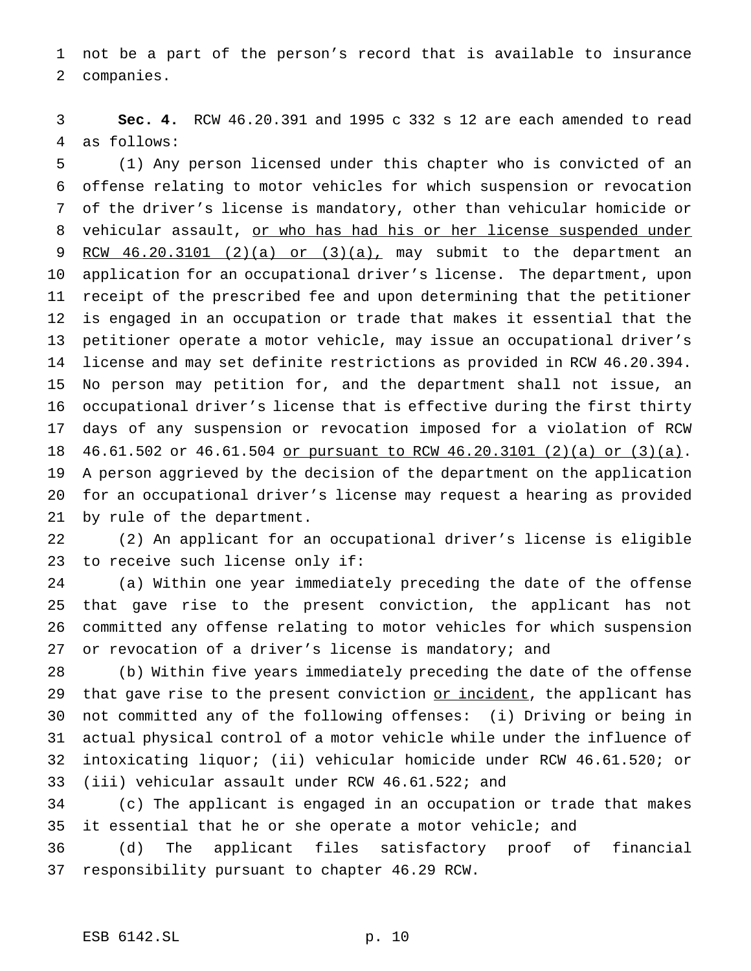not be a part of the person's record that is available to insurance companies.

 **Sec. 4.** RCW 46.20.391 and 1995 c 332 s 12 are each amended to read as follows:

 (1) Any person licensed under this chapter who is convicted of an offense relating to motor vehicles for which suspension or revocation of the driver's license is mandatory, other than vehicular homicide or 8 vehicular assault, or who has had his or her license suspended under RCW 46.20.3101 (2)(a) or (3)(a), may submit to the department an application for an occupational driver's license. The department, upon receipt of the prescribed fee and upon determining that the petitioner is engaged in an occupation or trade that makes it essential that the petitioner operate a motor vehicle, may issue an occupational driver's license and may set definite restrictions as provided in RCW 46.20.394. No person may petition for, and the department shall not issue, an occupational driver's license that is effective during the first thirty days of any suspension or revocation imposed for a violation of RCW 46.61.502 or 46.61.504 or pursuant to RCW 46.20.3101 (2)(a) or (3)(a). A person aggrieved by the decision of the department on the application for an occupational driver's license may request a hearing as provided by rule of the department.

 (2) An applicant for an occupational driver's license is eligible to receive such license only if:

 (a) Within one year immediately preceding the date of the offense that gave rise to the present conviction, the applicant has not committed any offense relating to motor vehicles for which suspension 27 or revocation of a driver's license is mandatory; and

 (b) Within five years immediately preceding the date of the offense 29 that gave rise to the present conviction or incident, the applicant has not committed any of the following offenses: (i) Driving or being in actual physical control of a motor vehicle while under the influence of intoxicating liquor; (ii) vehicular homicide under RCW 46.61.520; or (iii) vehicular assault under RCW 46.61.522; and

 (c) The applicant is engaged in an occupation or trade that makes it essential that he or she operate a motor vehicle; and

 (d) The applicant files satisfactory proof of financial responsibility pursuant to chapter 46.29 RCW.